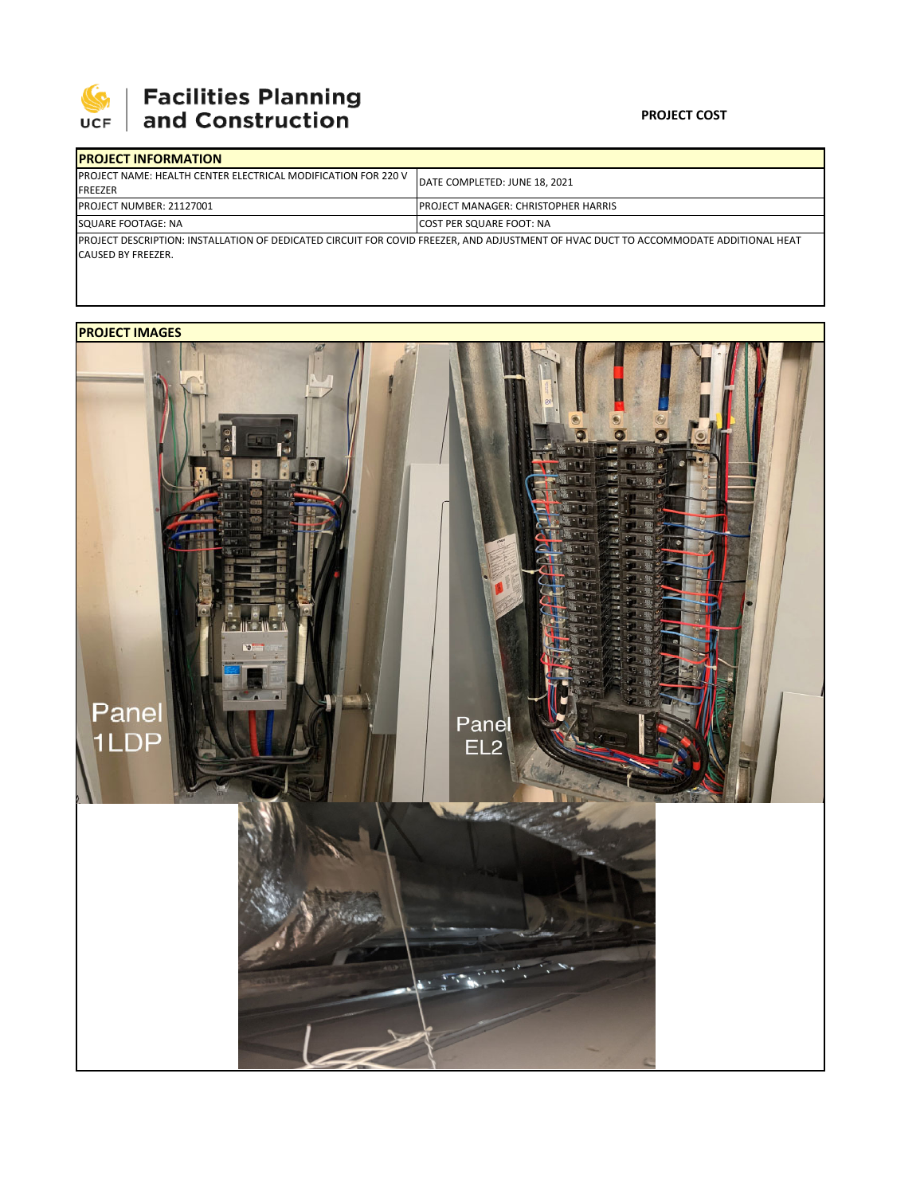

# | Facilities Planning<br>| and Construction

#### **PROJECT COST**

| <b>IPROJECT INFORMATION</b>                                                              |                                                                                                                                      |
|------------------------------------------------------------------------------------------|--------------------------------------------------------------------------------------------------------------------------------------|
| <b>IPROJECT NAME: HEALTH CENTER ELECTRICAL MODIFICATION FOR 220 V</b><br><b>IFREEZER</b> | DATE COMPLETED: JUNE 18, 2021                                                                                                        |
| <b>PROJECT NUMBER: 21127001</b>                                                          | <b>PROJECT MANAGER: CHRISTOPHER HARRIS</b>                                                                                           |
| SQUARE FOOTAGE: NA                                                                       | <b>ICOST PER SQUARE FOOT: NA</b>                                                                                                     |
| CAUSED BY FREEZER.                                                                       | PROJECT DESCRIPTION: INSTALLATION OF DEDICATED CIRCUIT FOR COVID FREEZER, AND ADJUSTMENT OF HVAC DUCT TO ACCOMMODATE ADDITIONAL HEAT |

### **PROJECT IMAGES**